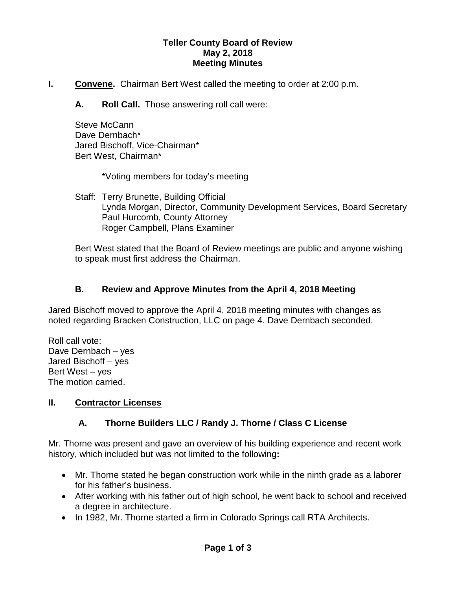#### **Teller County Board of Review May 2, 2018 Meeting Minutes**

- **I. Convene.** Chairman Bert West called the meeting to order at 2:00 p.m.
	- **A. Roll Call.** Those answering roll call were:

Steve McCann Dave Dernbach\* Jared Bischoff, Vice-Chairman\* Bert West, Chairman\*

\*Voting members for today's meeting

Staff: Terry Brunette, Building Official Lynda Morgan, Director, Community Development Services, Board Secretary Paul Hurcomb, County Attorney Roger Campbell, Plans Examiner

Bert West stated that the Board of Review meetings are public and anyone wishing to speak must first address the Chairman.

#### **B. Review and Approve Minutes from the April 4, 2018 Meeting**

Jared Bischoff moved to approve the April 4, 2018 meeting minutes with changes as noted regarding Bracken Construction, LLC on page 4. Dave Dernbach seconded.

Roll call vote: Dave Dernbach – yes Jared Bischoff – yes Bert West – yes The motion carried.

#### **II. Contractor Licenses**

# **A. Thorne Builders LLC / Randy J. Thorne / Class C License**

Mr. Thorne was present and gave an overview of his building experience and recent work history, which included but was not limited to the following**:**

- Mr. Thorne stated he began construction work while in the ninth grade as a laborer for his father's business.
- After working with his father out of high school, he went back to school and received a degree in architecture.
- In 1982, Mr. Thorne started a firm in Colorado Springs call RTA Architects.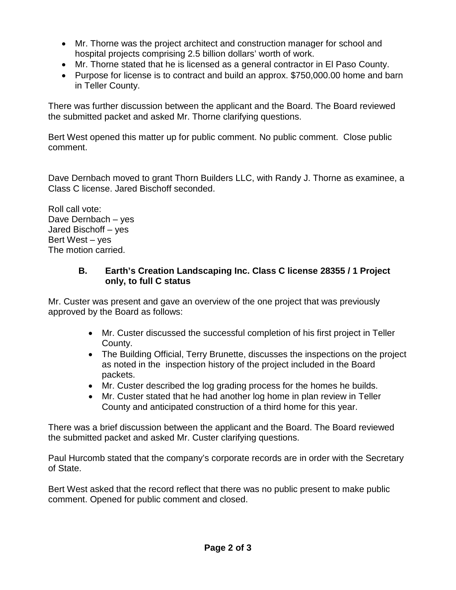- Mr. Thorne was the project architect and construction manager for school and hospital projects comprising 2.5 billion dollars' worth of work.
- Mr. Thorne stated that he is licensed as a general contractor in El Paso County.
- Purpose for license is to contract and build an approx. \$750,000.00 home and barn in Teller County.

There was further discussion between the applicant and the Board. The Board reviewed the submitted packet and asked Mr. Thorne clarifying questions.

Bert West opened this matter up for public comment. No public comment. Close public comment.

Dave Dernbach moved to grant Thorn Builders LLC, with Randy J. Thorne as examinee, a Class C license. Jared Bischoff seconded.

Roll call vote: Dave Dernbach – yes Jared Bischoff – yes Bert West – yes The motion carried.

# **B. Earth's Creation Landscaping Inc. Class C license 28355 / 1 Project only, to full C status**

Mr. Custer was present and gave an overview of the one project that was previously approved by the Board as follows:

- Mr. Custer discussed the successful completion of his first project in Teller County.
- The Building Official, Terry Brunette, discusses the inspections on the project as noted in the inspection history of the project included in the Board packets.
- Mr. Custer described the log grading process for the homes he builds.
- Mr. Custer stated that he had another log home in plan review in Teller County and anticipated construction of a third home for this year.

There was a brief discussion between the applicant and the Board. The Board reviewed the submitted packet and asked Mr. Custer clarifying questions.

Paul Hurcomb stated that the company's corporate records are in order with the Secretary of State.

Bert West asked that the record reflect that there was no public present to make public comment. Opened for public comment and closed.